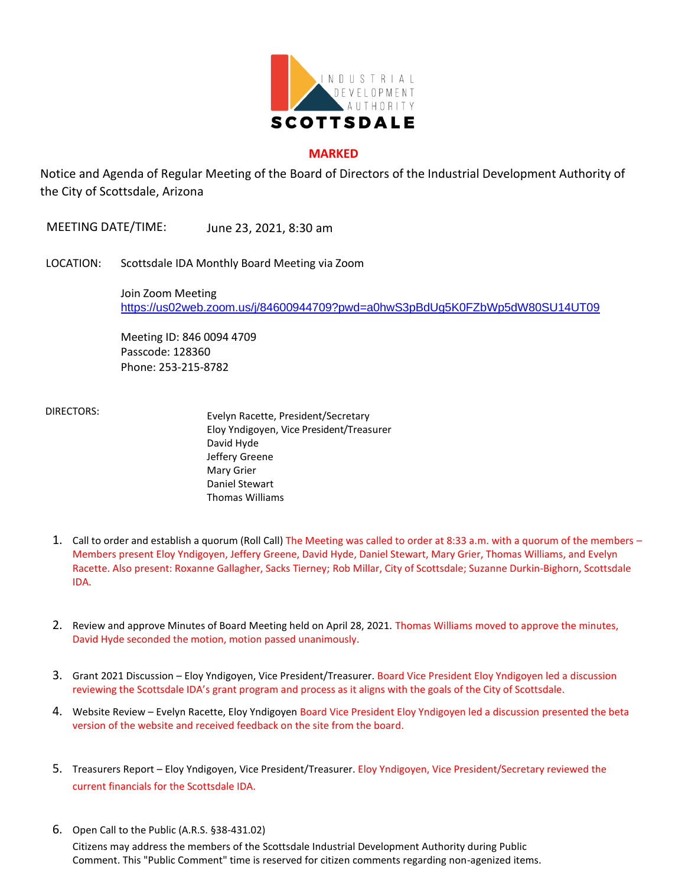

## **MARKED**

Notice and Agenda of Regular Meeting of the Board of Directors of the Industrial Development Authority of the City of Scottsdale, Arizona

MEETING DATE/TIME: June 23, 2021, 8:30 am

LOCATION: Scottsdale IDA Monthly Board Meeting via Zoom

Join Zoom Meeting <https://us02web.zoom.us/j/84600944709?pwd=a0hwS3pBdUg5K0FZbWp5dW80SU14UT09>

Meeting ID: 846 0094 4709 Passcode: 128360 Phone: 253-215-8782

 DIRECTORS: Evelyn Racette, President/Secretary Eloy Yndigoyen, Vice President/Treasurer David Hyde Jeffery Greene Mary Grier Daniel Stewart Thomas Williams

- 1. Call to order and establish a quorum (Roll Call) The Meeting was called to order at 8:33 a.m. with a quorum of the members Members present Eloy Yndigoyen, Jeffery Greene, David Hyde, Daniel Stewart, Mary Grier, Thomas Williams, and Evelyn Racette. Also present: Roxanne Gallagher, Sacks Tierney; Rob Millar, City of Scottsdale; Suzanne Durkin-Bighorn, Scottsdale IDA.
- 2. Review and approve Minutes of Board Meeting held on April 28, 2021. Thomas Williams moved to approve the minutes, David Hyde seconded the motion, motion passed unanimously.
- 3. Grant 2021 Discussion Eloy Yndigoyen, Vice President/Treasurer. Board Vice President Eloy Yndigoyen led a discussion reviewing the Scottsdale IDA's grant program and process as it aligns with the goals of the City of Scottsdale.
- 4. Website Review Evelyn Racette, Eloy Yndigoyen Board Vice President Eloy Yndigoyen led a discussion presented the beta version of the website and received feedback on the site from the board.
- 5. Treasurers Report Eloy Yndigoyen, Vice President/Treasurer. Eloy Yndigoyen, Vice President/Secretary reviewed the current financials for the Scottsdale IDA.
- 6. Open Call to the Public (A.R.S. §38-431.02) Citizens may address the members of the Scottsdale Industrial Development Authority during Public Comment. This "Public Comment" time is reserved for citizen comments regarding non-agenized items.